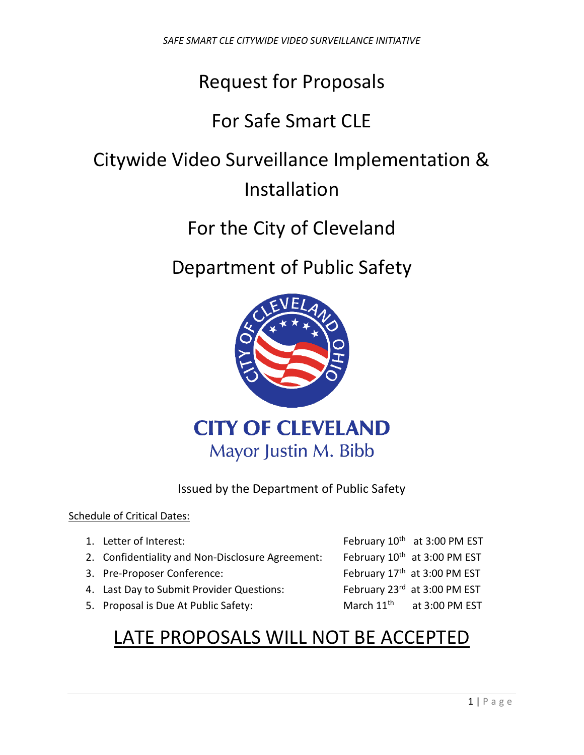# Request for Proposals

## For Safe Smart CLE

# Citywide Video Surveillance Implementation & Installation

## For the City of Cleveland

## Department of Public Safety



Issued by the Department of Public Safety

#### Schedule of Critical Dates:

| 1. Letter of Interest:                           |                        | February 10 <sup>th</sup> at 3:00 PM EST |
|--------------------------------------------------|------------------------|------------------------------------------|
| 2. Confidentiality and Non-Disclosure Agreement: |                        | February 10 <sup>th</sup> at 3:00 PM EST |
| 3. Pre-Proposer Conference:                      |                        | February 17th at 3:00 PM EST             |
| 4. Last Day to Submit Provider Questions:        |                        | February 23rd at 3:00 PM EST             |
| 5. Proposal is Due At Public Safety:             | March 11 <sup>th</sup> | at 3:00 PM EST                           |

## LATE PROPOSALS WILL NOT BE ACCEPTED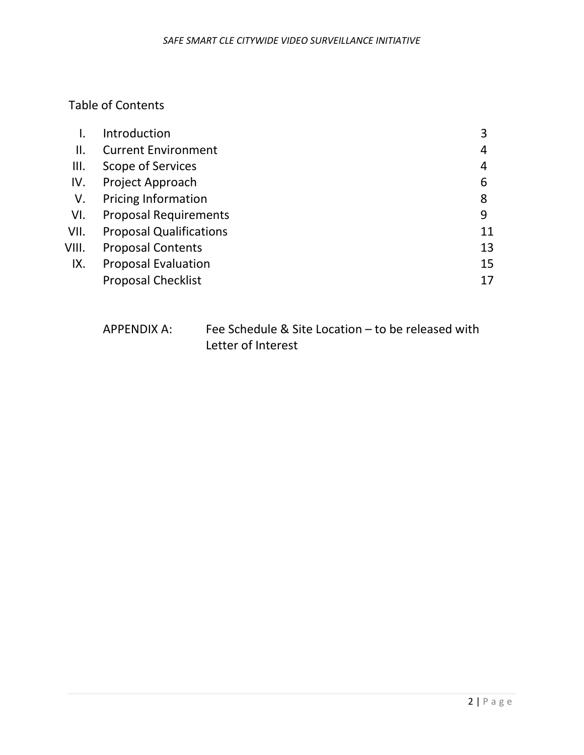## Table of Contents

|       | Introduction                   | 3  |
|-------|--------------------------------|----|
| П.    | <b>Current Environment</b>     | 4  |
| Ш.    | Scope of Services              | 4  |
| IV.   | Project Approach               | 6  |
| V.    | <b>Pricing Information</b>     | 8  |
| VI.   | <b>Proposal Requirements</b>   | 9  |
| VII.  | <b>Proposal Qualifications</b> | 11 |
| VIII. | <b>Proposal Contents</b>       | 13 |
| IX.   | <b>Proposal Evaluation</b>     | 15 |
|       | <b>Proposal Checklist</b>      | 17 |

| APPENDIX A: | Fee Schedule & Site Location – to be released with |
|-------------|----------------------------------------------------|
|             | Letter of Interest                                 |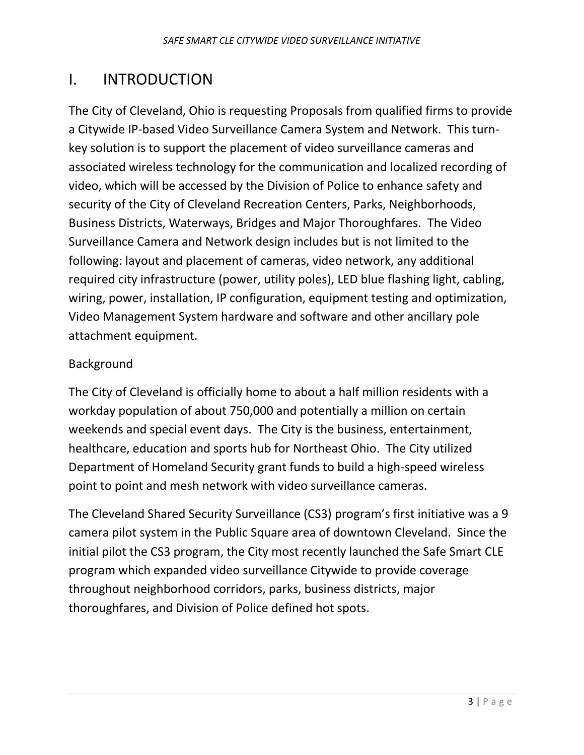## I. INTRODUCTION

The City of Cleveland, Ohio is requesting Proposals from qualified firms to provide a Citywide IP-based Video Surveillance Camera System and Network. This turnkey solution is to support the placement of video surveillance cameras and associated wireless technology for the communication and localized recording of video, which will be accessed by the Division of Police to enhance safety and security of the City of Cleveland Recreation Centers, Parks, Neighborhoods, Business Districts, Waterways, Bridges and Major Thoroughfares. The Video Surveillance Camera and Network design includes but is not limited to the following: layout and placement of cameras, video network, any additional required city infrastructure (power, utility poles), LED blue flashing light, cabling, wiring, power, installation, IP configuration, equipment testing and optimization, Video Management System hardware and software and other ancillary pole attachment equipment.

#### Background

The City of Cleveland is officially home to about a half million residents with a workday population of about 750,000 and potentially a million on certain weekends and special event days. The City is the business, entertainment, healthcare, education and sports hub for Northeast Ohio. The City utilized Department of Homeland Security grant funds to build a high-speed wireless point to point and mesh network with video surveillance cameras.

The Cleveland Shared Security Surveillance (CS3) program's first initiative was a 9 camera pilot system in the Public Square area of downtown Cleveland. Since the initial pilot the CS3 program, the City most recently launched the Safe Smart CLE program which expanded video surveillance Citywide to provide coverage throughout neighborhood corridors, parks, business districts, major thoroughfares, and Division of Police defined hot spots.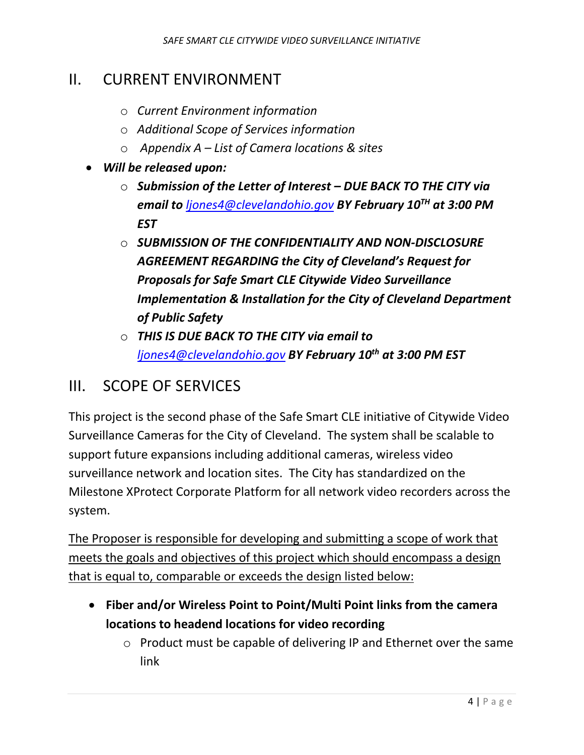## II. CURRENT ENVIRONMENT

- o *Current Environment information*
- o *Additional Scope of Services information*
- o *Appendix A – List of Camera locations & sites*
- *Will be released upon:*
	- o *Submission of the Letter of Interest – DUE BACK TO THE CITY via email to [ljones4@clevelandohio.gov](mailto:ljones4@clevelandohio.gov) BY February 10TH at 3:00 PM EST*
	- o *SUBMISSION OF THE CONFIDENTIALITY AND NON-DISCLOSURE AGREEMENT REGARDING the City of Cleveland's Request for Proposals for Safe Smart CLE Citywide Video Surveillance Implementation & Installation for the City of Cleveland Department of Public Safety*
	- o *THIS IS DUE BACK TO THE CITY via email to [ljones4@clevelandohio.gov](mailto:ljones4@clevelandohio.gov) BY February 10th at 3:00 PM EST*

### III. SCOPE OF SERVICES

This project is the second phase of the Safe Smart CLE initiative of Citywide Video Surveillance Cameras for the City of Cleveland. The system shall be scalable to support future expansions including additional cameras, wireless video surveillance network and location sites. The City has standardized on the Milestone XProtect Corporate Platform for all network video recorders across the system.

The Proposer is responsible for developing and submitting a scope of work that meets the goals and objectives of this project which should encompass a design that is equal to, comparable or exceeds the design listed below:

- **Fiber and/or Wireless Point to Point/Multi Point links from the camera locations to headend locations for video recording** 
	- o Product must be capable of delivering IP and Ethernet over the same link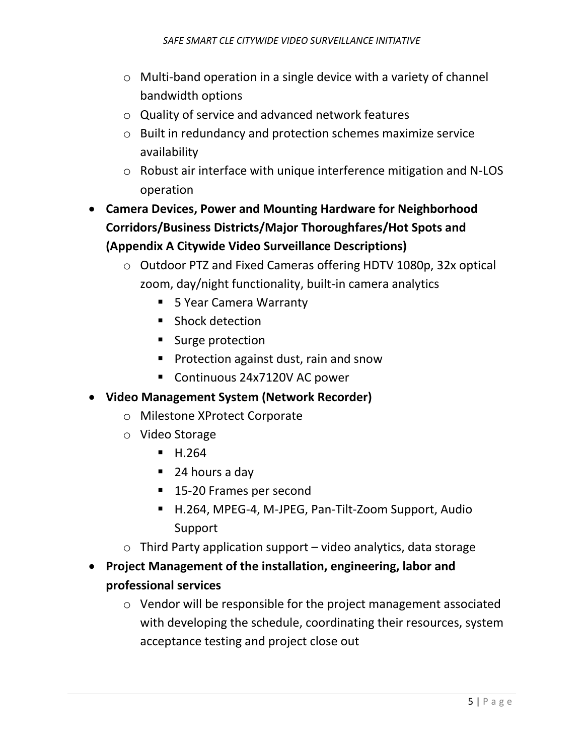- o Multi-band operation in a single device with a variety of channel bandwidth options
- o Quality of service and advanced network features
- o Built in redundancy and protection schemes maximize service availability
- o Robust air interface with unique interference mitigation and N-LOS operation
- **Camera Devices, Power and Mounting Hardware for Neighborhood Corridors/Business Districts/Major Thoroughfares/Hot Spots and (Appendix A Citywide Video Surveillance Descriptions)**
	- o Outdoor PTZ and Fixed Cameras offering HDTV 1080p, 32x optical zoom, day/night functionality, built-in camera analytics
		- 5 Year Camera Warranty
		- **Shock detection**
		- **Surge protection**
		- **Protection against dust, rain and snow**
		- Continuous 24x7120V AC power
- **Video Management System (Network Recorder)**
	- o Milestone XProtect Corporate
	- o Video Storage
		- $H.264$
		- 24 hours a day
		- 15-20 Frames per second
		- H.264, MPEG-4, M-JPEG, Pan-Tilt-Zoom Support, Audio Support
	- $\circ$  Third Party application support video analytics, data storage
- **Project Management of the installation, engineering, labor and professional services**
	- o Vendor will be responsible for the project management associated with developing the schedule, coordinating their resources, system acceptance testing and project close out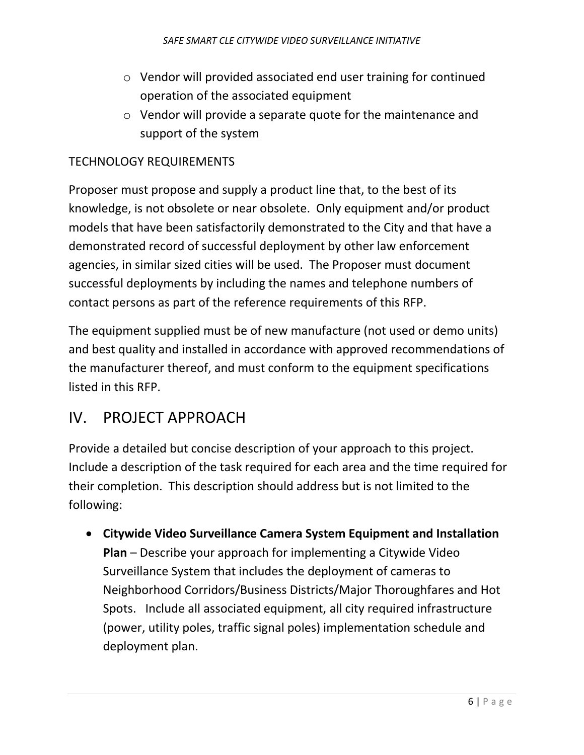- o Vendor will provided associated end user training for continued operation of the associated equipment
- o Vendor will provide a separate quote for the maintenance and support of the system

#### TECHNOLOGY REQUIREMENTS

Proposer must propose and supply a product line that, to the best of its knowledge, is not obsolete or near obsolete. Only equipment and/or product models that have been satisfactorily demonstrated to the City and that have a demonstrated record of successful deployment by other law enforcement agencies, in similar sized cities will be used. The Proposer must document successful deployments by including the names and telephone numbers of contact persons as part of the reference requirements of this RFP.

The equipment supplied must be of new manufacture (not used or demo units) and best quality and installed in accordance with approved recommendations of the manufacturer thereof, and must conform to the equipment specifications listed in this RFP.

### IV. PROJECT APPROACH

Provide a detailed but concise description of your approach to this project. Include a description of the task required for each area and the time required for their completion. This description should address but is not limited to the following:

• **Citywide Video Surveillance Camera System Equipment and Installation Plan** – Describe your approach for implementing a Citywide Video Surveillance System that includes the deployment of cameras to Neighborhood Corridors/Business Districts/Major Thoroughfares and Hot Spots. Include all associated equipment, all city required infrastructure (power, utility poles, traffic signal poles) implementation schedule and deployment plan.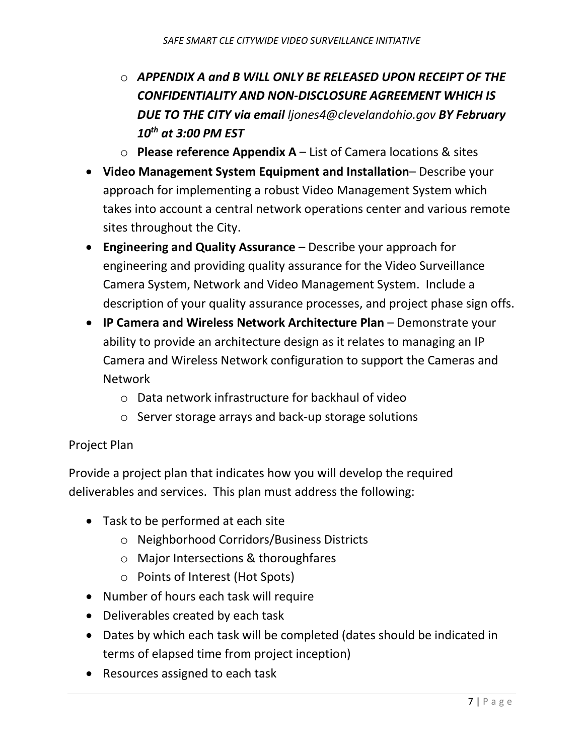- o *APPENDIX A and B WILL ONLY BE RELEASED UPON RECEIPT OF THE CONFIDENTIALITY AND NON-DISCLOSURE AGREEMENT WHICH IS DUE TO THE CITY via email ljones4@clevelandohio.gov BY February 10th at 3:00 PM EST*
- o **Please reference Appendix A**  List of Camera locations & sites
- **Video Management System Equipment and Installation** Describe your approach for implementing a robust Video Management System which takes into account a central network operations center and various remote sites throughout the City.
- **Engineering and Quality Assurance** Describe your approach for engineering and providing quality assurance for the Video Surveillance Camera System, Network and Video Management System. Include a description of your quality assurance processes, and project phase sign offs.
- **IP Camera and Wireless Network Architecture Plan** Demonstrate your ability to provide an architecture design as it relates to managing an IP Camera and Wireless Network configuration to support the Cameras and Network
	- o Data network infrastructure for backhaul of video
	- o Server storage arrays and back-up storage solutions

#### Project Plan

Provide a project plan that indicates how you will develop the required deliverables and services. This plan must address the following:

- Task to be performed at each site
	- o Neighborhood Corridors/Business Districts
	- o Major Intersections & thoroughfares
	- o Points of Interest (Hot Spots)
- Number of hours each task will require
- Deliverables created by each task
- Dates by which each task will be completed (dates should be indicated in terms of elapsed time from project inception)
- Resources assigned to each task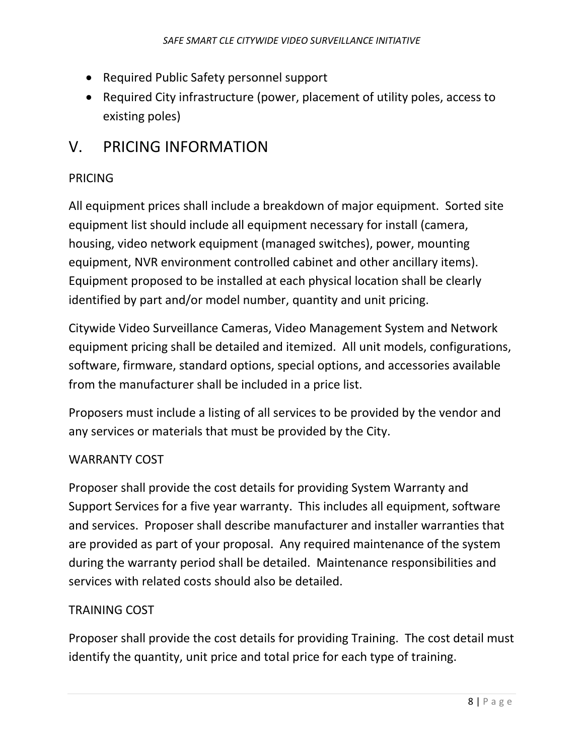- Required Public Safety personnel support
- Required City infrastructure (power, placement of utility poles, access to existing poles)

## V. PRICING INFORMATION

#### PRICING

All equipment prices shall include a breakdown of major equipment. Sorted site equipment list should include all equipment necessary for install (camera, housing, video network equipment (managed switches), power, mounting equipment, NVR environment controlled cabinet and other ancillary items). Equipment proposed to be installed at each physical location shall be clearly identified by part and/or model number, quantity and unit pricing.

Citywide Video Surveillance Cameras, Video Management System and Network equipment pricing shall be detailed and itemized. All unit models, configurations, software, firmware, standard options, special options, and accessories available from the manufacturer shall be included in a price list.

Proposers must include a listing of all services to be provided by the vendor and any services or materials that must be provided by the City.

#### WARRANTY COST

Proposer shall provide the cost details for providing System Warranty and Support Services for a five year warranty. This includes all equipment, software and services. Proposer shall describe manufacturer and installer warranties that are provided as part of your proposal. Any required maintenance of the system during the warranty period shall be detailed. Maintenance responsibilities and services with related costs should also be detailed.

#### TRAINING COST

Proposer shall provide the cost details for providing Training. The cost detail must identify the quantity, unit price and total price for each type of training.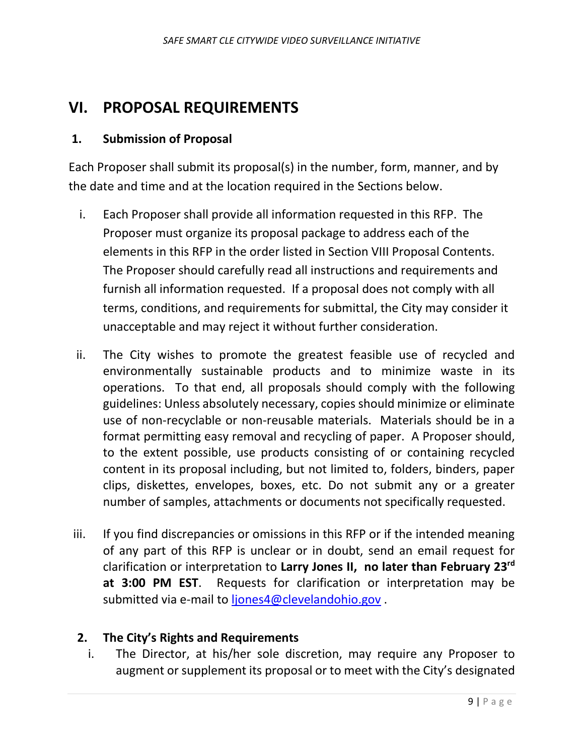## **VI. PROPOSAL REQUIREMENTS**

#### **1. Submission of Proposal**

Each Proposer shall submit its proposal(s) in the number, form, manner, and by the date and time and at the location required in the Sections below.

- i. Each Proposer shall provide all information requested in this RFP. The Proposer must organize its proposal package to address each of the elements in this RFP in the order listed in Section VIII Proposal Contents. The Proposer should carefully read all instructions and requirements and furnish all information requested. If a proposal does not comply with all terms, conditions, and requirements for submittal, the City may consider it unacceptable and may reject it without further consideration.
- ii. The City wishes to promote the greatest feasible use of recycled and environmentally sustainable products and to minimize waste in its operations. To that end, all proposals should comply with the following guidelines: Unless absolutely necessary, copies should minimize or eliminate use of non-recyclable or non-reusable materials. Materials should be in a format permitting easy removal and recycling of paper. A Proposer should, to the extent possible, use products consisting of or containing recycled content in its proposal including, but not limited to, folders, binders, paper clips, diskettes, envelopes, boxes, etc. Do not submit any or a greater number of samples, attachments or documents not specifically requested.
- iii. If you find discrepancies or omissions in this RFP or if the intended meaning of any part of this RFP is unclear or in doubt, send an email request for clarification or interpretation to **Larry Jones II, no later than February 23rd at 3:00 PM EST**. Requests for clarification or interpretation may be submitted via e-mail to [ljones4@clevelandohio.gov](mailto:ljones4@clevelandohio.gov).

#### **2. The City's Rights and Requirements**

i. The Director, at his/her sole discretion, may require any Proposer to augment or supplement its proposal or to meet with the City's designated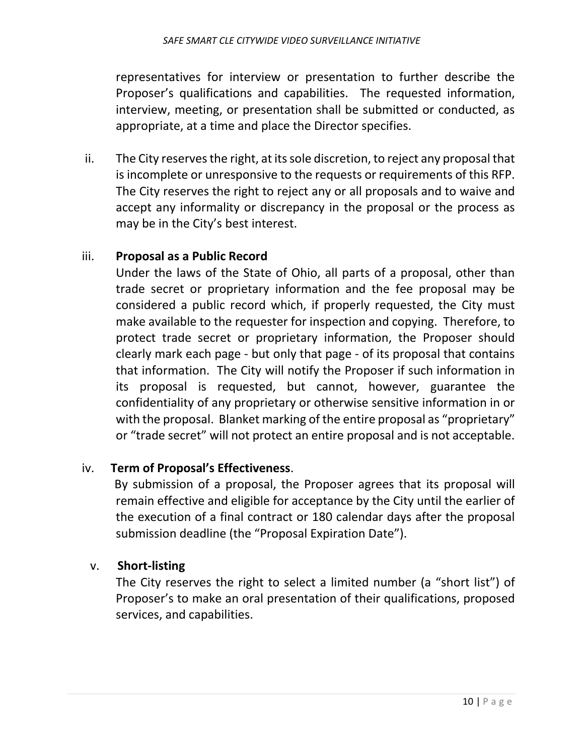representatives for interview or presentation to further describe the Proposer's qualifications and capabilities. The requested information, interview, meeting, or presentation shall be submitted or conducted, as appropriate, at a time and place the Director specifies.

ii. The City reserves the right, at its sole discretion, to reject any proposal that is incomplete or unresponsive to the requests or requirements of this RFP. The City reserves the right to reject any or all proposals and to waive and accept any informality or discrepancy in the proposal or the process as may be in the City's best interest.

#### iii. **Proposal as a Public Record**

Under the laws of the State of Ohio, all parts of a proposal, other than trade secret or proprietary information and the fee proposal may be considered a public record which, if properly requested, the City must make available to the requester for inspection and copying. Therefore, to protect trade secret or proprietary information, the Proposer should clearly mark each page - but only that page - of its proposal that contains that information. The City will notify the Proposer if such information in its proposal is requested, but cannot, however, guarantee the confidentiality of any proprietary or otherwise sensitive information in or with the proposal. Blanket marking of the entire proposal as "proprietary" or "trade secret" will not protect an entire proposal and is not acceptable.

#### iv. **Term of Proposal's Effectiveness**.

By submission of a proposal, the Proposer agrees that its proposal will remain effective and eligible for acceptance by the City until the earlier of the execution of a final contract or 180 calendar days after the proposal submission deadline (the "Proposal Expiration Date").

#### v. **Short-listing**

The City reserves the right to select a limited number (a "short list") of Proposer's to make an oral presentation of their qualifications, proposed services, and capabilities.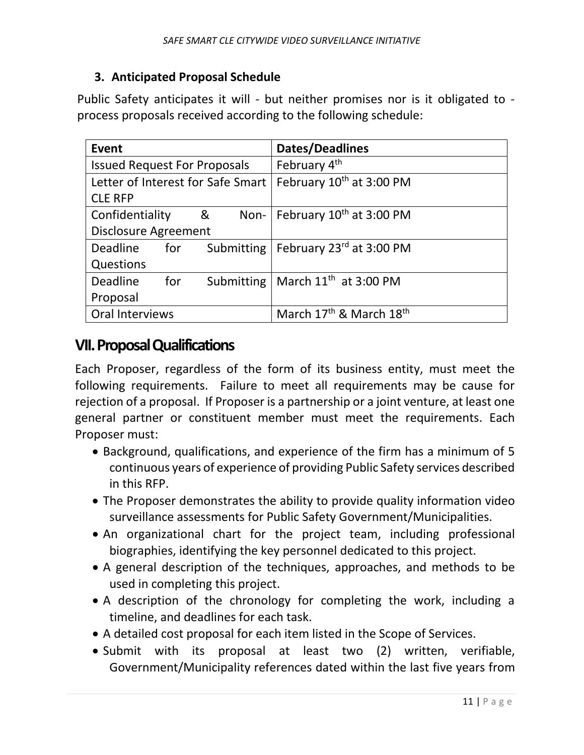#### **3. Anticipated Proposal Schedule**

Public Safety anticipates it will - but neither promises nor is it obligated to process proposals received according to the following schedule:

| <b>Event</b>                        |     |                                   | <b>Dates/Deadlines</b>                          |
|-------------------------------------|-----|-----------------------------------|-------------------------------------------------|
| <b>Issued Request For Proposals</b> |     |                                   | February 4 <sup>th</sup>                        |
|                                     |     | Letter of Interest for Safe Smart | February 10 <sup>th</sup> at 3:00 PM            |
| <b>CLE RFP</b>                      |     |                                   |                                                 |
| Confidentiality<br>&                |     |                                   | Non-   February 10 <sup>th</sup> at 3:00 PM     |
| <b>Disclosure Agreement</b>         |     |                                   |                                                 |
| <b>Deadline</b>                     | for | Submitting                        | February 23 <sup>rd</sup> at 3:00 PM            |
| Questions                           |     |                                   |                                                 |
| <b>Deadline</b>                     | for |                                   | Submitting   March 11 <sup>th</sup> at 3:00 PM  |
| Proposal                            |     |                                   |                                                 |
| Oral Interviews                     |     |                                   | March 17 <sup>th</sup> & March 18 <sup>th</sup> |

### **VII. Proposal Qualifications**

Each Proposer, regardless of the form of its business entity, must meet the following requirements. Failure to meet all requirements may be cause for rejection of a proposal. If Proposer is a partnership or a joint venture, at least one general partner or constituent member must meet the requirements. Each Proposer must:

- Background, qualifications, and experience of the firm has a minimum of 5 continuous years of experience of providing Public Safety services described in this RFP.
- The Proposer demonstrates the ability to provide quality information video surveillance assessments for Public Safety Government/Municipalities.
- An organizational chart for the project team, including professional biographies, identifying the key personnel dedicated to this project.
- A general description of the techniques, approaches, and methods to be used in completing this project.
- A description of the chronology for completing the work, including a timeline, and deadlines for each task.
- A detailed cost proposal for each item listed in the Scope of Services.
- Submit with its proposal at least two (2) written, verifiable, Government/Municipality references dated within the last five years from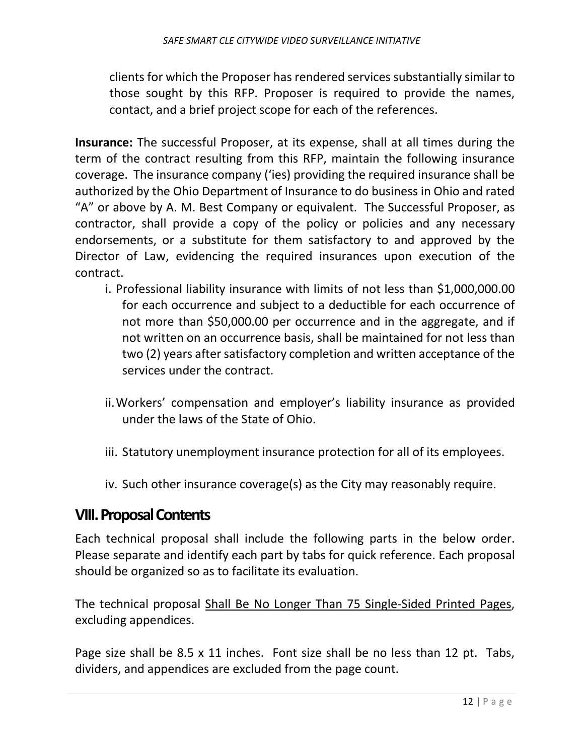clients for which the Proposer has rendered services substantially similar to those sought by this RFP. Proposer is required to provide the names, contact, and a brief project scope for each of the references.

**Insurance:** The successful Proposer, at its expense, shall at all times during the term of the contract resulting from this RFP, maintain the following insurance coverage. The insurance company ('ies) providing the required insurance shall be authorized by the Ohio Department of Insurance to do business in Ohio and rated "A" or above by A. M. Best Company or equivalent. The Successful Proposer, as contractor, shall provide a copy of the policy or policies and any necessary endorsements, or a substitute for them satisfactory to and approved by the Director of Law, evidencing the required insurances upon execution of the contract.

- i. Professional liability insurance with limits of not less than \$1,000,000.00 for each occurrence and subject to a deductible for each occurrence of not more than \$50,000.00 per occurrence and in the aggregate, and if not written on an occurrence basis, shall be maintained for not less than two (2) years after satisfactory completion and written acceptance of the services under the contract.
- ii.Workers' compensation and employer's liability insurance as provided under the laws of the State of Ohio.
- iii. Statutory unemployment insurance protection for all of its employees.
- iv. Such other insurance coverage(s) as the City may reasonably require.

#### **VIII. Proposal Contents**

Each technical proposal shall include the following parts in the below order. Please separate and identify each part by tabs for quick reference. Each proposal should be organized so as to facilitate its evaluation.

The technical proposal Shall Be No Longer Than 75 Single-Sided Printed Pages, excluding appendices.

Page size shall be 8.5 x 11 inches. Font size shall be no less than 12 pt. Tabs, dividers, and appendices are excluded from the page count.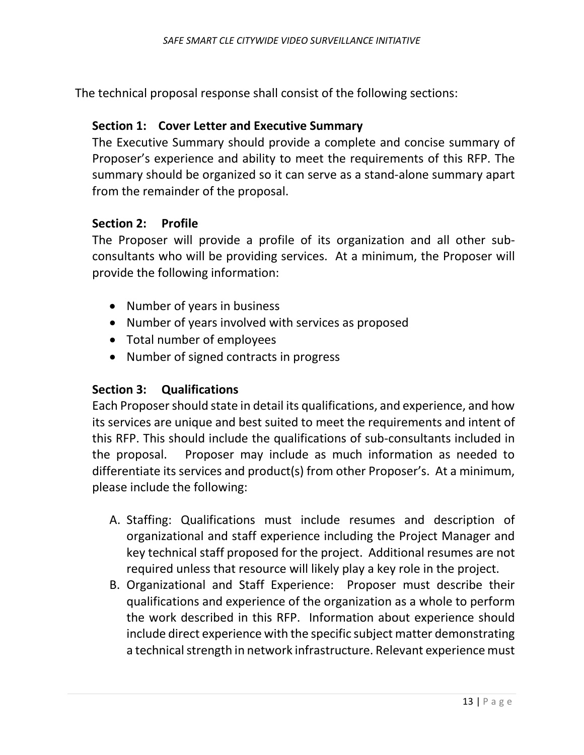The technical proposal response shall consist of the following sections:

#### **Section 1: Cover Letter and Executive Summary**

The Executive Summary should provide a complete and concise summary of Proposer's experience and ability to meet the requirements of this RFP. The summary should be organized so it can serve as a stand-alone summary apart from the remainder of the proposal.

#### **Section 2: Profile**

The Proposer will provide a profile of its organization and all other subconsultants who will be providing services. At a minimum, the Proposer will provide the following information:

- Number of years in business
- Number of years involved with services as proposed
- Total number of employees
- Number of signed contracts in progress

#### **Section 3: Qualifications**

Each Proposershould state in detail its qualifications, and experience, and how its services are unique and best suited to meet the requirements and intent of this RFP. This should include the qualifications of sub-consultants included in the proposal. Proposer may include as much information as needed to differentiate its services and product(s) from other Proposer's. At a minimum, please include the following:

- A. Staffing: Qualifications must include resumes and description of organizational and staff experience including the Project Manager and key technical staff proposed for the project. Additional resumes are not required unless that resource will likely play a key role in the project.
- B. Organizational and Staff Experience: Proposer must describe their qualifications and experience of the organization as a whole to perform the work described in this RFP. Information about experience should include direct experience with the specific subject matter demonstrating a technical strength in network infrastructure. Relevant experience must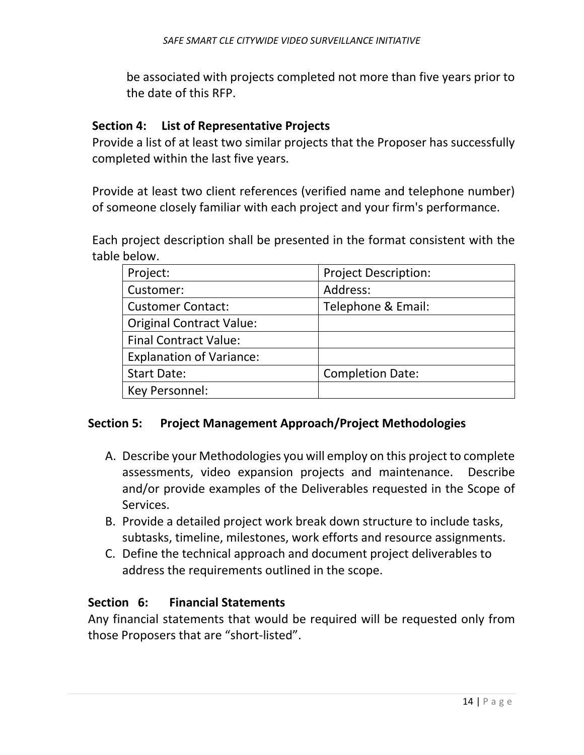be associated with projects completed not more than five years prior to the date of this RFP.

#### **Section 4: List of Representative Projects**

Provide a list of at least two similar projects that the Proposer has successfully completed within the last five years.

Provide at least two client references (verified name and telephone number) of someone closely familiar with each project and your firm's performance.

Each project description shall be presented in the format consistent with the table below.

| Project:                        | <b>Project Description:</b> |  |
|---------------------------------|-----------------------------|--|
| Customer:                       | Address:                    |  |
| <b>Customer Contact:</b>        | Telephone & Email:          |  |
| <b>Original Contract Value:</b> |                             |  |
| <b>Final Contract Value:</b>    |                             |  |
| <b>Explanation of Variance:</b> |                             |  |
| <b>Start Date:</b>              | <b>Completion Date:</b>     |  |
| Key Personnel:                  |                             |  |

#### **Section 5: Project Management Approach/Project Methodologies**

- A. Describe your Methodologies you will employ on this project to complete assessments, video expansion projects and maintenance. Describe and/or provide examples of the Deliverables requested in the Scope of Services.
- B. Provide a detailed project work break down structure to include tasks, subtasks, timeline, milestones, work efforts and resource assignments.
- C. Define the technical approach and document project deliverables to address the requirements outlined in the scope.

#### **Section 6: Financial Statements**

Any financial statements that would be required will be requested only from those Proposers that are "short-listed".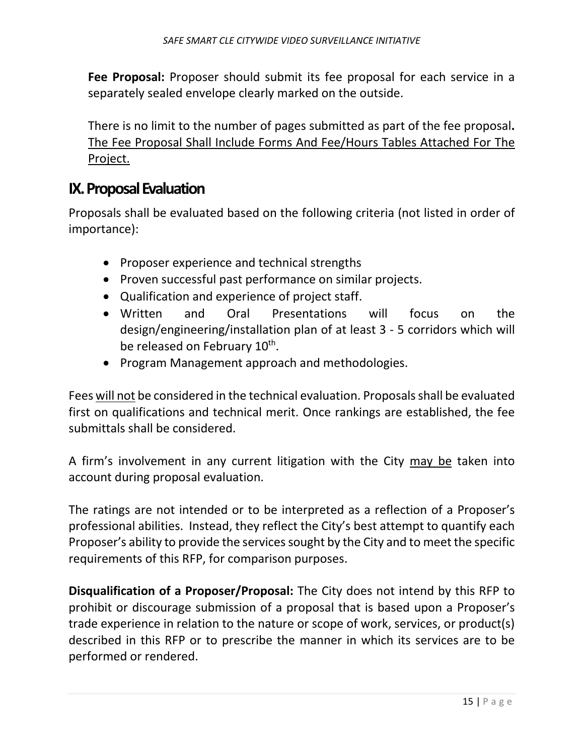**Fee Proposal:** Proposer should submit its fee proposal for each service in a separately sealed envelope clearly marked on the outside.

There is no limit to the number of pages submitted as part of the fee proposal**.**  The Fee Proposal Shall Include Forms And Fee/Hours Tables Attached For The Project.

### **IX. Proposal Evaluation**

Proposals shall be evaluated based on the following criteria (not listed in order of importance):

- Proposer experience and technical strengths
- Proven successful past performance on similar projects.
- Qualification and experience of project staff.
- Written and Oral Presentations will focus on the design/engineering/installation plan of at least 3 - 5 corridors which will be released on February 10<sup>th</sup>.
- Program Management approach and methodologies.

Fees will not be considered in the technical evaluation. Proposals shall be evaluated first on qualifications and technical merit. Once rankings are established, the fee submittals shall be considered.

A firm's involvement in any current litigation with the City may be taken into account during proposal evaluation.

The ratings are not intended or to be interpreted as a reflection of a Proposer's professional abilities. Instead, they reflect the City's best attempt to quantify each Proposer's ability to provide the services sought by the City and to meet the specific requirements of this RFP, for comparison purposes.

**Disqualification of a Proposer/Proposal:** The City does not intend by this RFP to prohibit or discourage submission of a proposal that is based upon a Proposer's trade experience in relation to the nature or scope of work, services, or product(s) described in this RFP or to prescribe the manner in which its services are to be performed or rendered.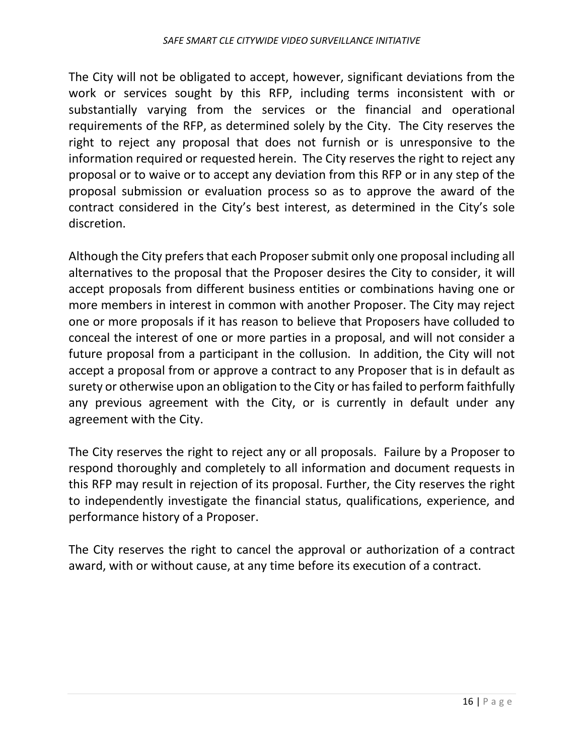The City will not be obligated to accept, however, significant deviations from the work or services sought by this RFP, including terms inconsistent with or substantially varying from the services or the financial and operational requirements of the RFP, as determined solely by the City. The City reserves the right to reject any proposal that does not furnish or is unresponsive to the information required or requested herein. The City reserves the right to reject any proposal or to waive or to accept any deviation from this RFP or in any step of the proposal submission or evaluation process so as to approve the award of the contract considered in the City's best interest, as determined in the City's sole discretion.

Although the City prefers that each Proposersubmit only one proposal including all alternatives to the proposal that the Proposer desires the City to consider, it will accept proposals from different business entities or combinations having one or more members in interest in common with another Proposer. The City may reject one or more proposals if it has reason to believe that Proposers have colluded to conceal the interest of one or more parties in a proposal, and will not consider a future proposal from a participant in the collusion. In addition, the City will not accept a proposal from or approve a contract to any Proposer that is in default as surety or otherwise upon an obligation to the City or has failed to perform faithfully any previous agreement with the City, or is currently in default under any agreement with the City.

The City reserves the right to reject any or all proposals. Failure by a Proposer to respond thoroughly and completely to all information and document requests in this RFP may result in rejection of its proposal. Further, the City reserves the right to independently investigate the financial status, qualifications, experience, and performance history of a Proposer.

The City reserves the right to cancel the approval or authorization of a contract award, with or without cause, at any time before its execution of a contract.